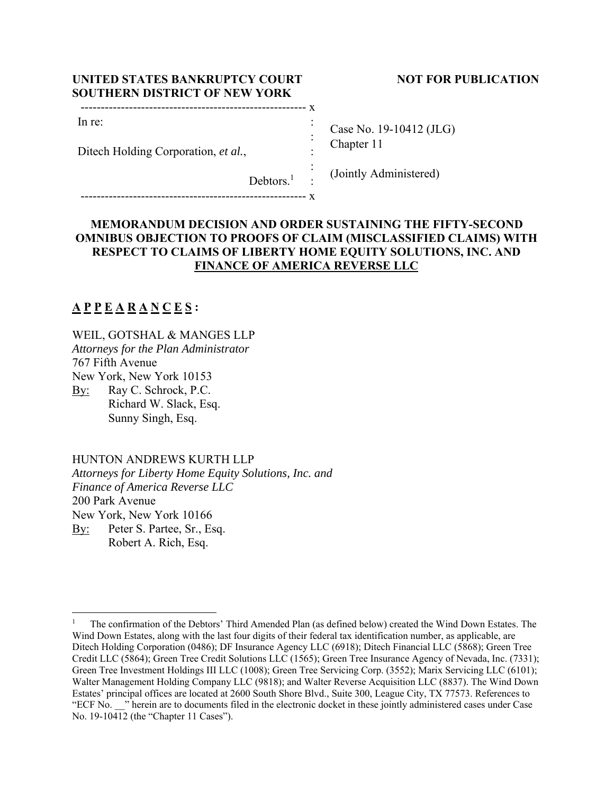| UNITED STATES BANKRUPTCY COURT       |  |
|--------------------------------------|--|
| <b>SOUTHERN DISTRICT OF NEW YORK</b> |  |
|                                      |  |
| In re:                               |  |

### **NOT FOR PUBLICATION**

Case No. 19-10412 (JLG) Chapter 11

(Jointly Administered)

Debtors.<sup>1</sup> :

-------------------------------------------------------- x

# **MEMORANDUM DECISION AND ORDER SUSTAINING THE FIFTY-SECOND OMNIBUS OBJECTION TO PROOFS OF CLAIM (MISCLASSIFIED CLAIMS) WITH RESPECT TO CLAIMS OF LIBERTY HOME EQUITY SOLUTIONS, INC. AND**

 : : :

# **FINANCE OF AMERICA REVERSE LLC**

# **A P P E A R A N C E S :**

#### WEIL, GOTSHAL & MANGES LLP

Ditech Holding Corporation, *et al.*,

*Attorneys for the Plan Administrator*  767 Fifth Avenue New York, New York 10153

By: Ray C. Schrock, P.C. Richard W. Slack, Esq. Sunny Singh, Esq.

### HUNTON ANDREWS KURTH LLP

*Attorneys for Liberty Home Equity Solutions, Inc. and Finance of America Reverse LLC*  200 Park Avenue New York, New York 10166 By: Peter S. Partee, Sr., Esq. Robert A. Rich, Esq.

<sup>1</sup> The confirmation of the Debtors' Third Amended Plan (as defined below) created the Wind Down Estates. The Wind Down Estates, along with the last four digits of their federal tax identification number, as applicable, are Ditech Holding Corporation (0486); DF Insurance Agency LLC (6918); Ditech Financial LLC (5868); Green Tree Credit LLC (5864); Green Tree Credit Solutions LLC (1565); Green Tree Insurance Agency of Nevada, Inc. (7331); Green Tree Investment Holdings III LLC (1008); Green Tree Servicing Corp. (3552); Marix Servicing LLC (6101); Walter Management Holding Company LLC (9818); and Walter Reverse Acquisition LLC (8837). The Wind Down Estates' principal offices are located at 2600 South Shore Blvd., Suite 300, League City, TX 77573. References to "ECF No. \_\_" herein are to documents filed in the electronic docket in these jointly administered cases under Case No. 19-10412 (the "Chapter 11 Cases").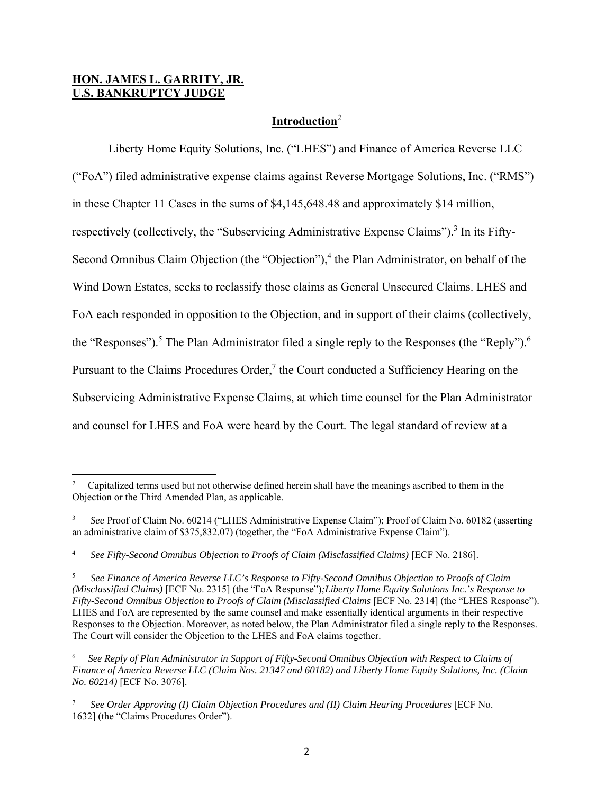# **HON. JAMES L. GARRITY, JR. U.S. BANKRUPTCY JUDGE**

# **Introduction**<sup>2</sup>

 Liberty Home Equity Solutions, Inc. ("LHES") and Finance of America Reverse LLC ("FoA") filed administrative expense claims against Reverse Mortgage Solutions, Inc. ("RMS") in these Chapter 11 Cases in the sums of \$4,145,648.48 and approximately \$14 million, respectively (collectively, the "Subservicing Administrative Expense Claims").<sup>3</sup> In its Fifty-Second Omnibus Claim Objection (the "Objection"),<sup>4</sup> the Plan Administrator, on behalf of the Wind Down Estates, seeks to reclassify those claims as General Unsecured Claims. LHES and FoA each responded in opposition to the Objection, and in support of their claims (collectively, the "Responses").<sup>5</sup> The Plan Administrator filed a single reply to the Responses (the "Reply").<sup>6</sup> Pursuant to the Claims Procedures Order, $<sup>7</sup>$  the Court conducted a Sufficiency Hearing on the</sup> Subservicing Administrative Expense Claims, at which time counsel for the Plan Administrator and counsel for LHES and FoA were heard by the Court. The legal standard of review at a

<sup>2</sup> Capitalized terms used but not otherwise defined herein shall have the meanings ascribed to them in the Objection or the Third Amended Plan, as applicable.

<sup>3</sup> *See* Proof of Claim No. 60214 ("LHES Administrative Expense Claim"); Proof of Claim No. 60182 (asserting an administrative claim of \$375,832.07) (together, the "FoA Administrative Expense Claim").

<sup>4</sup> See Fifty-Second Omnibus Objection to Proofs of Claim (Misclassified Claims) [ECF No. 2186].

<sup>5</sup> *See Finance of America Reverse LLC's Response to Fifty-Second Omnibus Objection to Proofs of Claim (Misclassified Claims)* [ECF No. 2315] (the "FoA Response")*;Liberty Home Equity Solutions Inc.'s Response to Fifty-Second Omnibus Objection to Proofs of Claim (Misclassified Claims [ECF No. 2314] (the "LHES Response").* LHES and FoA are represented by the same counsel and make essentially identical arguments in their respective Responses to the Objection. Moreover, as noted below, the Plan Administrator filed a single reply to the Responses. The Court will consider the Objection to the LHES and FoA claims together.

<sup>6</sup> *See Reply of Plan Administrator in Support of Fifty-Second Omnibus Objection with Respect to Claims of Finance of America Reverse LLC (Claim Nos. 21347 and 60182) and Liberty Home Equity Solutions, Inc. (Claim No. 60214)* [ECF No. 3076].

<sup>7</sup> *See Order Approving (I) Claim Objection Procedures and (II) Claim Hearing Procedures* [ECF No. 1632] (the "Claims Procedures Order").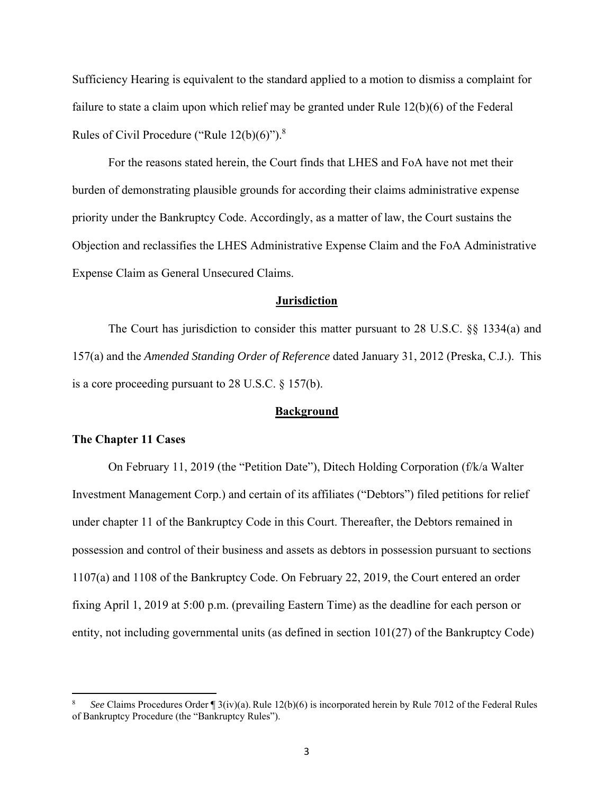Sufficiency Hearing is equivalent to the standard applied to a motion to dismiss a complaint for failure to state a claim upon which relief may be granted under Rule 12(b)(6) of the Federal Rules of Civil Procedure ("Rule  $12(b)(6)$ ").<sup>8</sup>

 For the reasons stated herein, the Court finds that LHES and FoA have not met their burden of demonstrating plausible grounds for according their claims administrative expense priority under the Bankruptcy Code. Accordingly, as a matter of law, the Court sustains the Objection and reclassifies the LHES Administrative Expense Claim and the FoA Administrative Expense Claim as General Unsecured Claims.

#### **Jurisdiction**

The Court has jurisdiction to consider this matter pursuant to 28 U.S.C. §§ 1334(a) and 157(a) and the *Amended Standing Order of Reference* dated January 31, 2012 (Preska, C.J.). This is a core proceeding pursuant to 28 U.S.C. § 157(b).

#### **Background**

#### **The Chapter 11 Cases**

 On February 11, 2019 (the "Petition Date"), Ditech Holding Corporation (f/k/a Walter Investment Management Corp.) and certain of its affiliates ("Debtors") filed petitions for relief under chapter 11 of the Bankruptcy Code in this Court. Thereafter, the Debtors remained in possession and control of their business and assets as debtors in possession pursuant to sections 1107(a) and 1108 of the Bankruptcy Code. On February 22, 2019, the Court entered an order fixing April 1, 2019 at 5:00 p.m. (prevailing Eastern Time) as the deadline for each person or entity, not including governmental units (as defined in section 101(27) of the Bankruptcy Code)

<sup>8</sup> *See* Claims Procedures Order ¶ 3(iv)(a). Rule 12(b)(6) is incorporated herein by Rule 7012 of the Federal Rules of Bankruptcy Procedure (the "Bankruptcy Rules").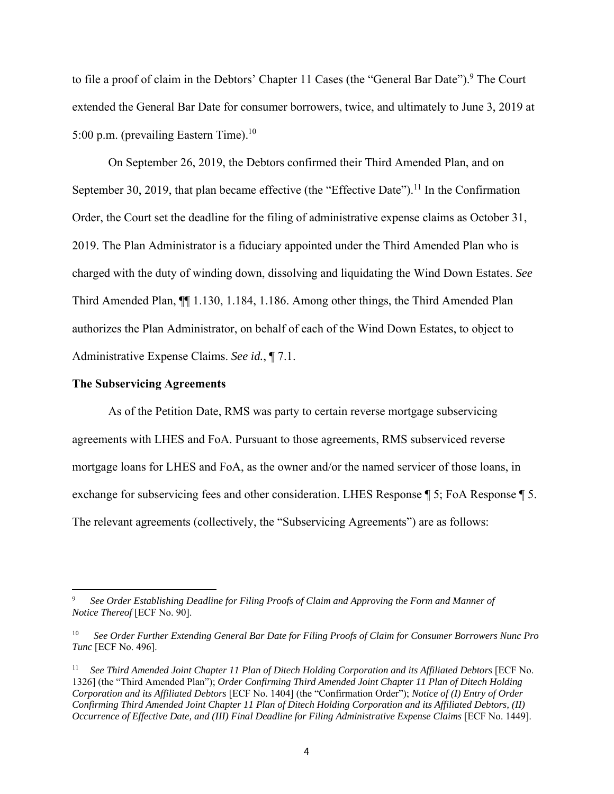to file a proof of claim in the Debtors' Chapter 11 Cases (the "General Bar Date").<sup>9</sup> The Court extended the General Bar Date for consumer borrowers, twice, and ultimately to June 3, 2019 at 5:00 p.m. (prevailing Eastern Time).<sup>10</sup>

 On September 26, 2019, the Debtors confirmed their Third Amended Plan, and on September 30, 2019, that plan became effective (the "Effective Date").<sup>11</sup> In the Confirmation Order, the Court set the deadline for the filing of administrative expense claims as October 31, 2019. The Plan Administrator is a fiduciary appointed under the Third Amended Plan who is charged with the duty of winding down, dissolving and liquidating the Wind Down Estates. *See*  Third Amended Plan, ¶¶ 1.130, 1.184, 1.186. Among other things, the Third Amended Plan authorizes the Plan Administrator, on behalf of each of the Wind Down Estates, to object to Administrative Expense Claims. *See id.*, ¶ 7.1.

#### **The Subservicing Agreements**

 As of the Petition Date, RMS was party to certain reverse mortgage subservicing agreements with LHES and FoA. Pursuant to those agreements, RMS subserviced reverse mortgage loans for LHES and FoA, as the owner and/or the named servicer of those loans, in exchange for subservicing fees and other consideration. LHES Response ¶ 5; FoA Response ¶ 5. The relevant agreements (collectively, the "Subservicing Agreements") are as follows:

<sup>9</sup> *See Order Establishing Deadline for Filing Proofs of Claim and Approving the Form and Manner of Notice Thereof* [ECF No. 90].

<sup>10</sup> *See Order Further Extending General Bar Date for Filing Proofs of Claim for Consumer Borrowers Nunc Pro Tunc* [ECF No. 496].

<sup>11</sup> *See Third Amended Joint Chapter 11 Plan of Ditech Holding Corporation and its Affiliated Debtors* [ECF No. 1326] (the "Third Amended Plan"); *Order Confirming Third Amended Joint Chapter 11 Plan of Ditech Holding Corporation and its Affiliated Debtors* [ECF No. 1404] (the "Confirmation Order"); *Notice of (I) Entry of Order Confirming Third Amended Joint Chapter 11 Plan of Ditech Holding Corporation and its Affiliated Debtors, (II) Occurrence of Effective Date, and (III) Final Deadline for Filing Administrative Expense Claims* [ECF No. 1449].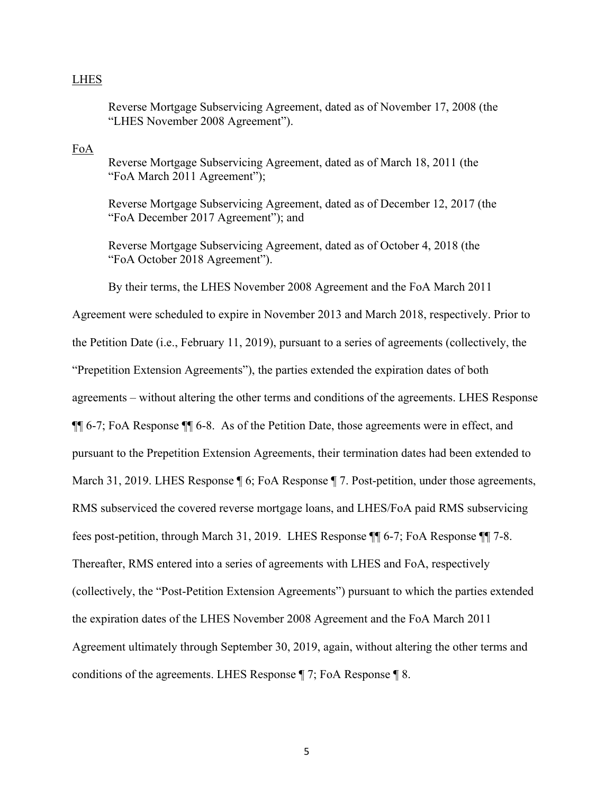### LHES

Reverse Mortgage Subservicing Agreement, dated as of November 17, 2008 (the "LHES November 2008 Agreement").

FoA

Reverse Mortgage Subservicing Agreement, dated as of March 18, 2011 (the "FoA March 2011 Agreement");

Reverse Mortgage Subservicing Agreement, dated as of December 12, 2017 (the "FoA December 2017 Agreement"); and

Reverse Mortgage Subservicing Agreement, dated as of October 4, 2018 (the "FoA October 2018 Agreement").

By their terms, the LHES November 2008 Agreement and the FoA March 2011

Agreement were scheduled to expire in November 2013 and March 2018, respectively. Prior to the Petition Date (i.e., February 11, 2019), pursuant to a series of agreements (collectively, the "Prepetition Extension Agreements"), the parties extended the expiration dates of both agreements – without altering the other terms and conditions of the agreements. LHES Response ¶¶ 6-7; FoA Response ¶¶ 6-8.As of the Petition Date, those agreements were in effect, and pursuant to the Prepetition Extension Agreements, their termination dates had been extended to March 31, 2019. LHES Response  $\P$  6; FoA Response  $\P$  7. Post-petition, under those agreements, RMS subserviced the covered reverse mortgage loans, and LHES/FoA paid RMS subservicing fees post-petition, through March 31, 2019. LHES Response ¶¶ 6-7; FoA Response ¶¶ 7-8. Thereafter, RMS entered into a series of agreements with LHES and FoA, respectively (collectively, the "Post-Petition Extension Agreements") pursuant to which the parties extended the expiration dates of the LHES November 2008 Agreement and the FoA March 2011 Agreement ultimately through September 30, 2019, again, without altering the other terms and conditions of the agreements. LHES Response ¶ 7; FoA Response ¶ 8.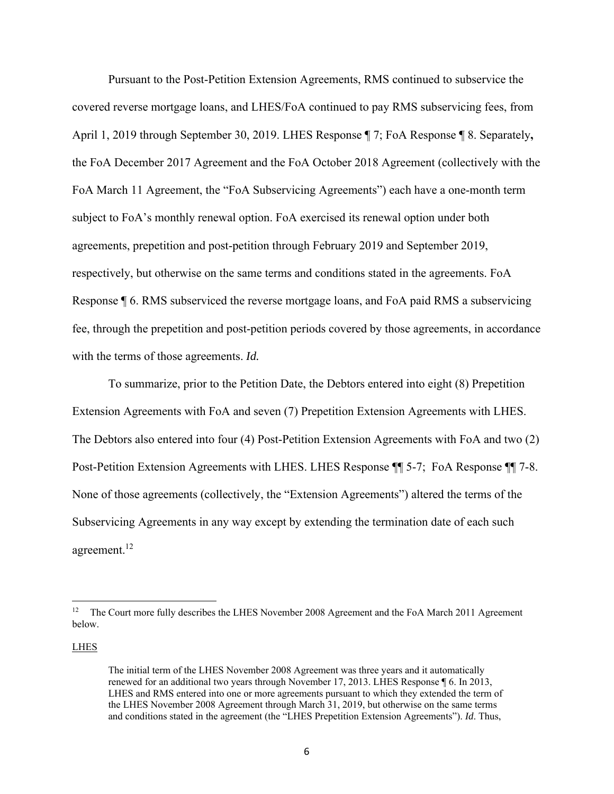Pursuant to the Post-Petition Extension Agreements, RMS continued to subservice the covered reverse mortgage loans, and LHES/FoA continued to pay RMS subservicing fees, from April 1, 2019 through September 30, 2019. LHES Response ¶ 7; FoA Response ¶ 8. Separately**,**  the FoA December 2017 Agreement and the FoA October 2018 Agreement (collectively with the FoA March 11 Agreement, the "FoA Subservicing Agreements") each have a one-month term subject to FoA's monthly renewal option. FoA exercised its renewal option under both agreements, prepetition and post-petition through February 2019 and September 2019, respectively, but otherwise on the same terms and conditions stated in the agreements. FoA Response ¶ 6. RMS subserviced the reverse mortgage loans, and FoA paid RMS a subservicing fee, through the prepetition and post-petition periods covered by those agreements, in accordance with the terms of those agreements. *Id.*

 To summarize, prior to the Petition Date, the Debtors entered into eight (8) Prepetition Extension Agreements with FoA and seven (7) Prepetition Extension Agreements with LHES. The Debtors also entered into four (4) Post-Petition Extension Agreements with FoA and two (2) Post-Petition Extension Agreements with LHES. LHES Response ¶¶ 5-7; FoA Response ¶¶ 7-8. None of those agreements (collectively, the "Extension Agreements") altered the terms of the Subservicing Agreements in any way except by extending the termination date of each such agreement.<sup>12</sup>

LHES

<sup>&</sup>lt;sup>12</sup> The Court more fully describes the LHES November 2008 Agreement and the FoA March 2011 Agreement below.

The initial term of the LHES November 2008 Agreement was three years and it automatically renewed for an additional two years through November 17, 2013. LHES Response ¶ 6. In 2013, LHES and RMS entered into one or more agreements pursuant to which they extended the term of the LHES November 2008 Agreement through March 31, 2019, but otherwise on the same terms and conditions stated in the agreement (the "LHES Prepetition Extension Agreements"). *Id*. Thus,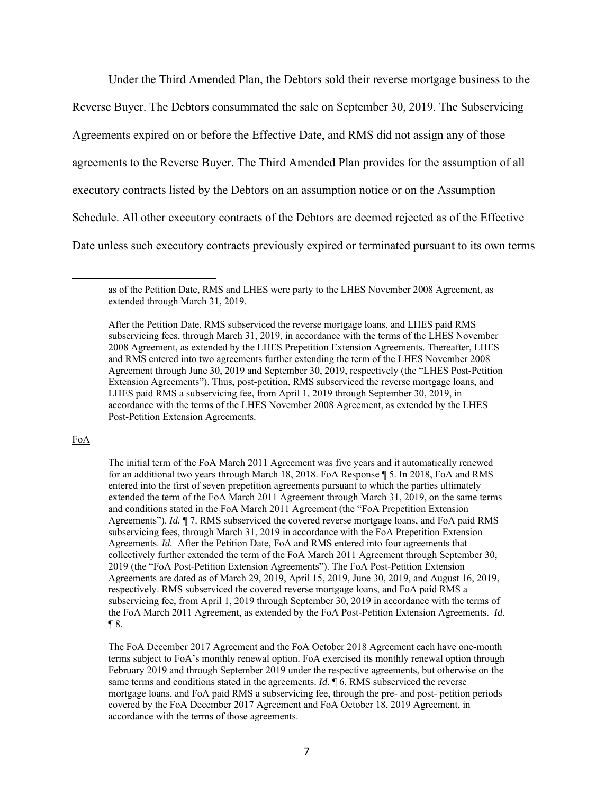Under the Third Amended Plan, the Debtors sold their reverse mortgage business to the

Reverse Buyer. The Debtors consummated the sale on September 30, 2019. The Subservicing Agreements expired on or before the Effective Date, and RMS did not assign any of those agreements to the Reverse Buyer. The Third Amended Plan provides for the assumption of all executory contracts listed by the Debtors on an assumption notice or on the Assumption Schedule. All other executory contracts of the Debtors are deemed rejected as of the Effective Date unless such executory contracts previously expired or terminated pursuant to its own terms

#### FoA

The initial term of the FoA March 2011 Agreement was five years and it automatically renewed for an additional two years through March 18, 2018. FoA Response ¶ 5. In 2018, FoA and RMS entered into the first of seven prepetition agreements pursuant to which the parties ultimately extended the term of the FoA March 2011 Agreement through March 31, 2019, on the same terms and conditions stated in the FoA March 2011 Agreement (the "FoA Prepetition Extension Agreements"). *Id.* ¶ 7. RMS subserviced the covered reverse mortgage loans, and FoA paid RMS subservicing fees, through March 31, 2019 in accordance with the FoA Prepetition Extension Agreements. *Id.* After the Petition Date, FoA and RMS entered into four agreements that collectively further extended the term of the FoA March 2011 Agreement through September 30, 2019 (the "FoA Post-Petition Extension Agreements"). The FoA Post-Petition Extension Agreements are dated as of March 29, 2019, April 15, 2019, June 30, 2019, and August 16, 2019, respectively. RMS subserviced the covered reverse mortgage loans, and FoA paid RMS a subservicing fee, from April 1, 2019 through September 30, 2019 in accordance with the terms of the FoA March 2011 Agreement, as extended by the FoA Post-Petition Extension Agreements. *Id.*  $\P$ 8.

The FoA December 2017 Agreement and the FoA October 2018 Agreement each have one-month terms subject to FoA's monthly renewal option. FoA exercised its monthly renewal option through February 2019 and through September 2019 under the respective agreements, but otherwise on the same terms and conditions stated in the agreements. *Id*. **[6. RMS** subserviced the reverse mortgage loans, and FoA paid RMS a subservicing fee, through the pre- and post- petition periods covered by the FoA December 2017 Agreement and FoA October 18, 2019 Agreement, in accordance with the terms of those agreements.

as of the Petition Date, RMS and LHES were party to the LHES November 2008 Agreement, as extended through March 31, 2019.

After the Petition Date, RMS subserviced the reverse mortgage loans, and LHES paid RMS subservicing fees, through March 31, 2019, in accordance with the terms of the LHES November 2008 Agreement, as extended by the LHES Prepetition Extension Agreements. Thereafter, LHES and RMS entered into two agreements further extending the term of the LHES November 2008 Agreement through June 30, 2019 and September 30, 2019, respectively (the "LHES Post-Petition Extension Agreements"). Thus, post-petition, RMS subserviced the reverse mortgage loans, and LHES paid RMS a subservicing fee, from April 1, 2019 through September 30, 2019, in accordance with the terms of the LHES November 2008 Agreement, as extended by the LHES Post-Petition Extension Agreements.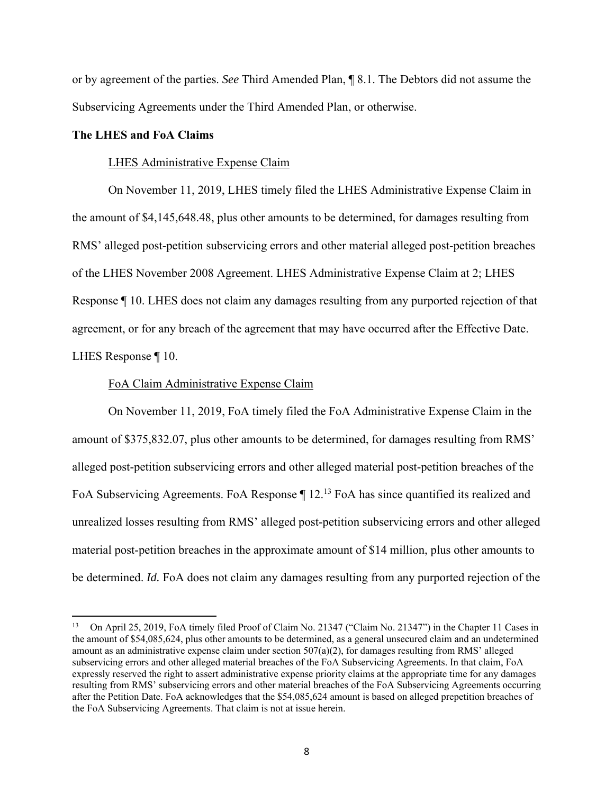or by agreement of the parties. *See* Third Amended Plan, ¶ 8.1. The Debtors did not assume the Subservicing Agreements under the Third Amended Plan, or otherwise.

### **The LHES and FoA Claims**

#### LHES Administrative Expense Claim

 On November 11, 2019, LHES timely filed the LHES Administrative Expense Claim in the amount of \$4,145,648.48, plus other amounts to be determined, for damages resulting from RMS' alleged post-petition subservicing errors and other material alleged post-petition breaches of the LHES November 2008 Agreement. LHES Administrative Expense Claim at 2; LHES Response ¶ 10. LHES does not claim any damages resulting from any purported rejection of that agreement, or for any breach of the agreement that may have occurred after the Effective Date. LHES Response ¶ 10.

#### FoA Claim Administrative Expense Claim

 On November 11, 2019, FoA timely filed the FoA Administrative Expense Claim in the amount of \$375,832.07, plus other amounts to be determined, for damages resulting from RMS' alleged post-petition subservicing errors and other alleged material post-petition breaches of the FoA Subservicing Agreements. FoA Response  $\P$  12.<sup>13</sup> FoA has since quantified its realized and unrealized losses resulting from RMS' alleged post-petition subservicing errors and other alleged material post-petition breaches in the approximate amount of \$14 million, plus other amounts to be determined. *Id.* FoA does not claim any damages resulting from any purported rejection of the

<sup>13</sup> On April 25, 2019, FoA timely filed Proof of Claim No. 21347 ("Claim No. 21347") in the Chapter 11 Cases in the amount of \$54,085,624, plus other amounts to be determined, as a general unsecured claim and an undetermined amount as an administrative expense claim under section  $507(a)(2)$ , for damages resulting from RMS' alleged subservicing errors and other alleged material breaches of the FoA Subservicing Agreements. In that claim, FoA expressly reserved the right to assert administrative expense priority claims at the appropriate time for any damages resulting from RMS' subservicing errors and other material breaches of the FoA Subservicing Agreements occurring after the Petition Date. FoA acknowledges that the \$54,085,624 amount is based on alleged prepetition breaches of the FoA Subservicing Agreements. That claim is not at issue herein.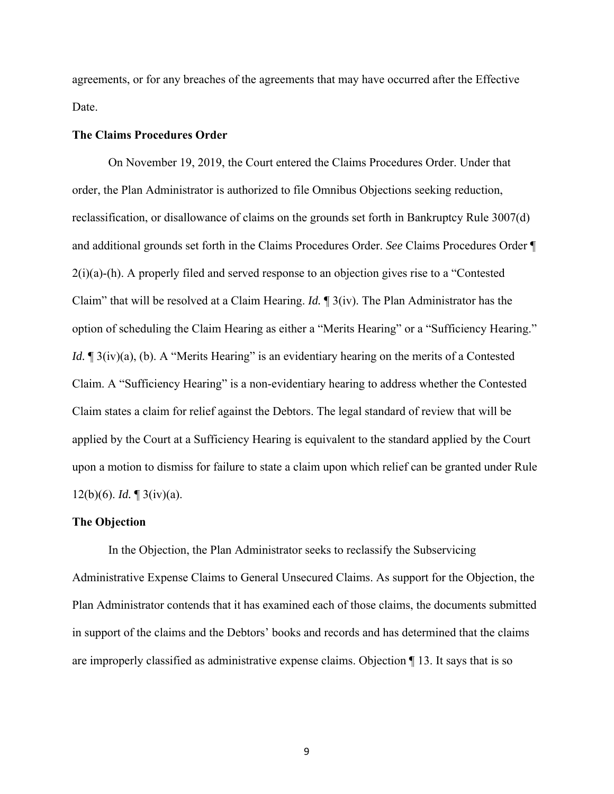agreements, or for any breaches of the agreements that may have occurred after the Effective Date.

#### **The Claims Procedures Order**

 On November 19, 2019, the Court entered the Claims Procedures Order. Under that order, the Plan Administrator is authorized to file Omnibus Objections seeking reduction, reclassification, or disallowance of claims on the grounds set forth in Bankruptcy Rule 3007(d) and additional grounds set forth in the Claims Procedures Order. *See* Claims Procedures Order ¶ 2(i)(a)-(h). A properly filed and served response to an objection gives rise to a "Contested Claim" that will be resolved at a Claim Hearing. *Id.* ¶ 3(iv). The Plan Administrator has the option of scheduling the Claim Hearing as either a "Merits Hearing" or a "Sufficiency Hearing." *Id.*  $\mathbb{I}$  3(iv)(a), (b). A "Merits Hearing" is an evidentiary hearing on the merits of a Contested Claim. A "Sufficiency Hearing" is a non-evidentiary hearing to address whether the Contested Claim states a claim for relief against the Debtors. The legal standard of review that will be applied by the Court at a Sufficiency Hearing is equivalent to the standard applied by the Court upon a motion to dismiss for failure to state a claim upon which relief can be granted under Rule 12(b)(6). *Id.* ¶ 3(iv)(a).

#### **The Objection**

 In the Objection, the Plan Administrator seeks to reclassify the Subservicing Administrative Expense Claims to General Unsecured Claims. As support for the Objection, the Plan Administrator contends that it has examined each of those claims, the documents submitted in support of the claims and the Debtors' books and records and has determined that the claims are improperly classified as administrative expense claims. Objection ¶ 13. It says that is so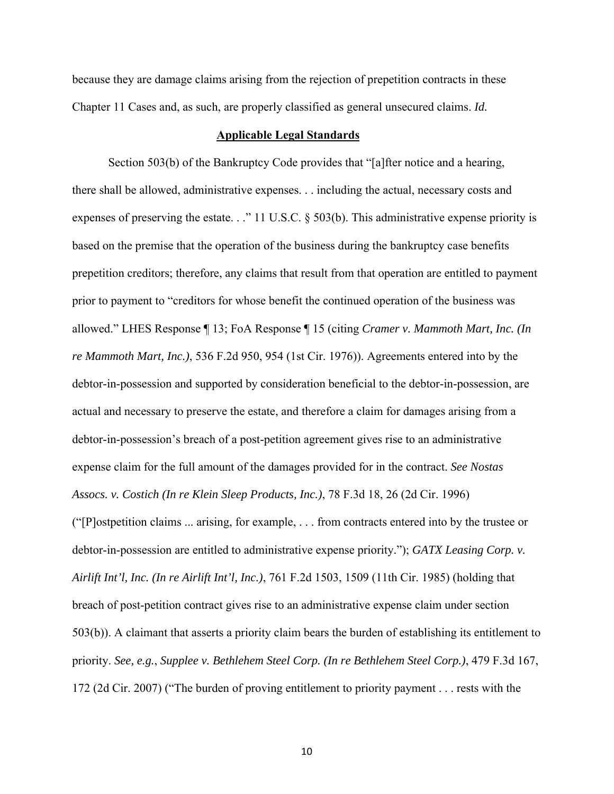because they are damage claims arising from the rejection of prepetition contracts in these Chapter 11 Cases and, as such, are properly classified as general unsecured claims. *Id.*

### **Applicable Legal Standards**

Section 503(b) of the Bankruptcy Code provides that "[a]fter notice and a hearing, there shall be allowed, administrative expenses. . . including the actual, necessary costs and expenses of preserving the estate. . ." 11 U.S.C. § 503(b). This administrative expense priority is based on the premise that the operation of the business during the bankruptcy case benefits prepetition creditors; therefore, any claims that result from that operation are entitled to payment prior to payment to "creditors for whose benefit the continued operation of the business was allowed." LHES Response ¶ 13; FoA Response ¶ 15 (citing *Cramer v. Mammoth Mart, Inc. (In re Mammoth Mart, Inc.)*, 536 F.2d 950, 954 (1st Cir. 1976)). Agreements entered into by the debtor-in-possession and supported by consideration beneficial to the debtor-in-possession, are actual and necessary to preserve the estate, and therefore a claim for damages arising from a debtor-in-possession's breach of a post-petition agreement gives rise to an administrative expense claim for the full amount of the damages provided for in the contract. *See Nostas Assocs. v. Costich (In re Klein Sleep Products, Inc.)*, 78 F.3d 18, 26 (2d Cir. 1996)

("[P]ostpetition claims ... arising, for example, . . . from contracts entered into by the trustee or debtor-in-possession are entitled to administrative expense priority."); *GATX Leasing Corp. v. Airlift Int'l, Inc. (In re Airlift Int'l, Inc.)*, 761 F.2d 1503, 1509 (11th Cir. 1985) (holding that breach of post-petition contract gives rise to an administrative expense claim under section 503(b)). A claimant that asserts a priority claim bears the burden of establishing its entitlement to priority. *See, e.g.*, *Supplee v. Bethlehem Steel Corp. (In re Bethlehem Steel Corp.)*, 479 F.3d 167, 172 (2d Cir. 2007) ("The burden of proving entitlement to priority payment . . . rests with the

10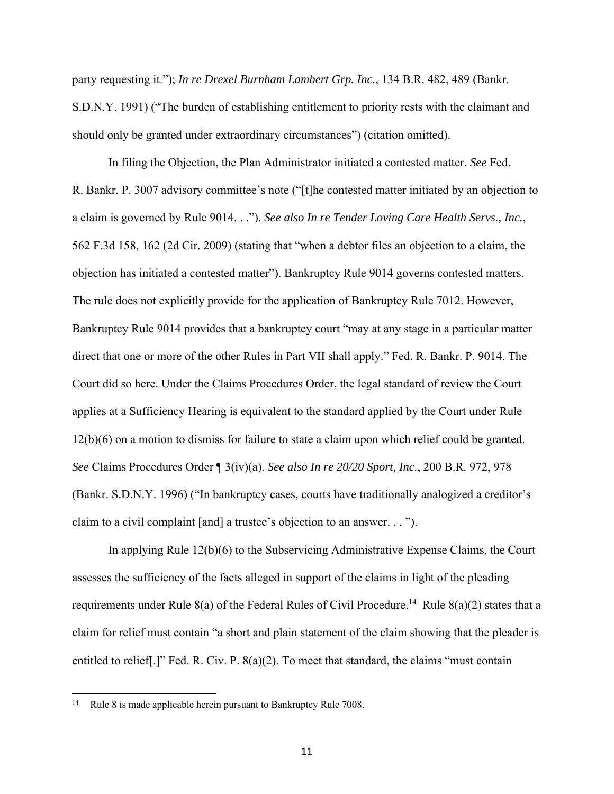party requesting it."); *In re Drexel Burnham Lambert Grp. Inc.*, 134 B.R. 482, 489 (Bankr. S.D.N.Y. 1991) ("The burden of establishing entitlement to priority rests with the claimant and should only be granted under extraordinary circumstances") (citation omitted).

 In filing the Objection, the Plan Administrator initiated a contested matter. *See* Fed. R. Bankr. P. 3007 advisory committee's note ("[t]he contested matter initiated by an objection to a claim is governed by Rule 9014. . ."). *See also In re Tender Loving Care Health Servs., Inc.*, 562 F.3d 158, 162 (2d Cir. 2009) (stating that "when a debtor files an objection to a claim, the objection has initiated a contested matter"). Bankruptcy Rule 9014 governs contested matters. The rule does not explicitly provide for the application of Bankruptcy Rule 7012. However, Bankruptcy Rule 9014 provides that a bankruptcy court "may at any stage in a particular matter direct that one or more of the other Rules in Part VII shall apply." Fed. R. Bankr. P. 9014. The Court did so here. Under the Claims Procedures Order, the legal standard of review the Court applies at a Sufficiency Hearing is equivalent to the standard applied by the Court under Rule 12(b)(6) on a motion to dismiss for failure to state a claim upon which relief could be granted. *See* Claims Procedures Order ¶ 3(iv)(a). *See also In re 20/20 Sport, Inc.*, 200 B.R. 972, 978 (Bankr. S.D.N.Y. 1996) ("In bankruptcy cases, courts have traditionally analogized a creditor's claim to a civil complaint [and] a trustee's objection to an answer. . . ").

 In applying Rule 12(b)(6) to the Subservicing Administrative Expense Claims, the Court assesses the sufficiency of the facts alleged in support of the claims in light of the pleading requirements under Rule 8(a) of the Federal Rules of Civil Procedure.<sup>14</sup> Rule 8(a)(2) states that a claim for relief must contain "a short and plain statement of the claim showing that the pleader is entitled to relief[.]" Fed. R. Civ. P. 8(a)(2). To meet that standard, the claims "must contain

<sup>&</sup>lt;sup>14</sup> Rule 8 is made applicable herein pursuant to Bankruptcy Rule 7008.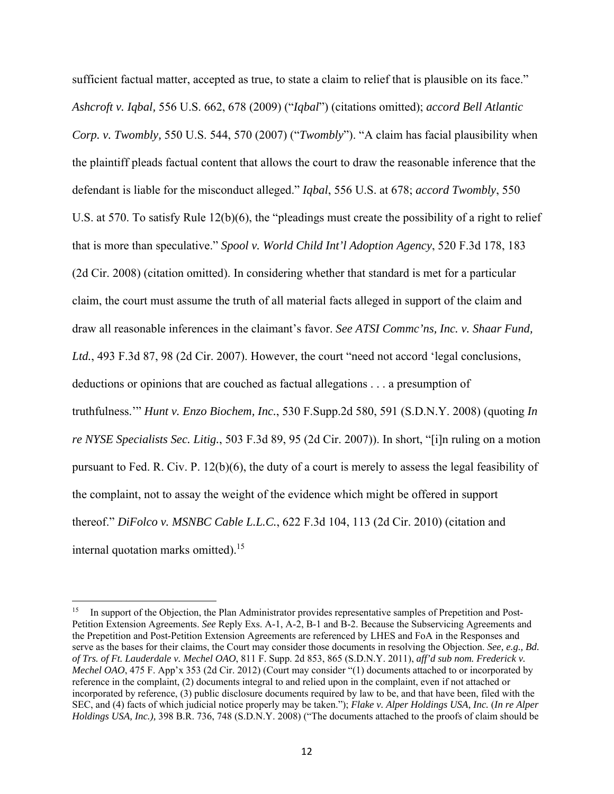sufficient factual matter, accepted as true, to state a claim to relief that is plausible on its face." *Ashcroft v. Iqbal,* 556 U.S. 662, 678 (2009) ("*Iqbal*") (citations omitted); *accord Bell Atlantic Corp. v. Twombly,* 550 U.S. 544, 570 (2007) ("*Twombly*"). "A claim has facial plausibility when the plaintiff pleads factual content that allows the court to draw the reasonable inference that the defendant is liable for the misconduct alleged." *Iqbal*, 556 U.S. at 678; *accord Twombly*, 550 U.S. at 570. To satisfy Rule 12(b)(6), the "pleadings must create the possibility of a right to relief that is more than speculative." *Spool v. World Child Int'l Adoption Agency*, 520 F.3d 178, 183 (2d Cir. 2008) (citation omitted). In considering whether that standard is met for a particular claim, the court must assume the truth of all material facts alleged in support of the claim and draw all reasonable inferences in the claimant's favor. *See ATSI Commc'ns, Inc. v. Shaar Fund, Ltd.*, 493 F.3d 87, 98 (2d Cir. 2007). However, the court "need not accord 'legal conclusions, deductions or opinions that are couched as factual allegations . . . a presumption of truthfulness.'" *Hunt v. Enzo Biochem, Inc.*, 530 F.Supp.2d 580, 591 (S.D.N.Y. 2008) (quoting *In re NYSE Specialists Sec. Litig.*, 503 F.3d 89, 95 (2d Cir. 2007)). In short, "[i]n ruling on a motion pursuant to Fed. R. Civ. P. 12(b)(6), the duty of a court is merely to assess the legal feasibility of the complaint, not to assay the weight of the evidence which might be offered in support thereof." *DiFolco v. MSNBC Cable L.L.C.*, 622 F.3d 104, 113 (2d Cir. 2010) (citation and internal quotation marks omitted).<sup>15</sup>

In support of the Objection, the Plan Administrator provides representative samples of Prepetition and Post-Petition Extension Agreements. *See* Reply Exs. A-1, A-2, B-1 and B-2. Because the Subservicing Agreements and the Prepetition and Post-Petition Extension Agreements are referenced by LHES and FoA in the Responses and serve as the bases for their claims, the Court may consider those documents in resolving the Objection. *See, e.g., Bd. of Trs. of Ft. Lauderdale v. Mechel OAO*, 811 F. Supp. 2d 853, 865 (S.D.N.Y. 2011), *aff'd sub nom. Frederick v. Mechel OAO*, 475 F. App'x 353 (2d Cir. 2012) (Court may consider "(1) documents attached to or incorporated by reference in the complaint, (2) documents integral to and relied upon in the complaint, even if not attached or incorporated by reference, (3) public disclosure documents required by law to be, and that have been, filed with the SEC, and (4) facts of which judicial notice properly may be taken."); *Flake v. Alper Holdings USA, Inc.* (*In re Alper Holdings USA, Inc.),* 398 B.R. 736, 748 (S.D.N.Y. 2008) ("The documents attached to the proofs of claim should be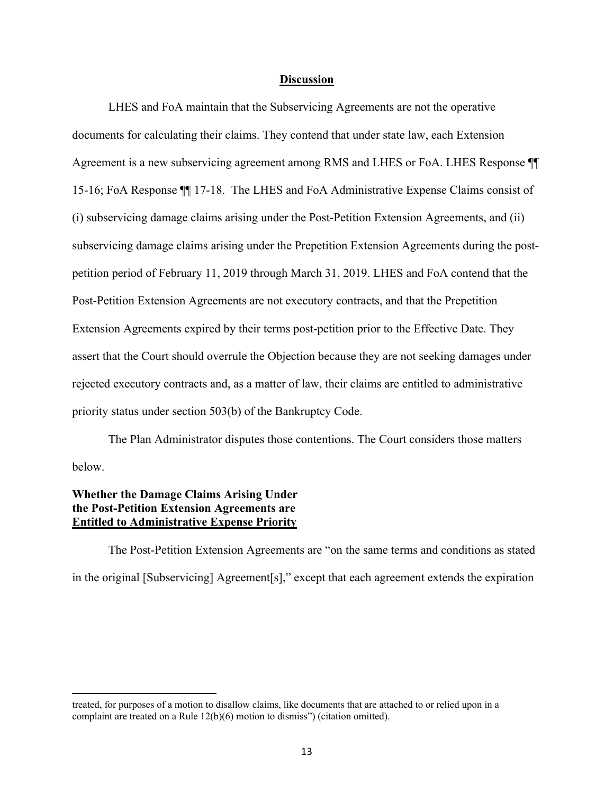#### **Discussion**

 LHES and FoA maintain that the Subservicing Agreements are not the operative documents for calculating their claims. They contend that under state law, each Extension Agreement is a new subservicing agreement among RMS and LHES or FoA. LHES Response ¶¶ 15-16; FoA Response ¶¶ 17-18. The LHES and FoA Administrative Expense Claims consist of (i) subservicing damage claims arising under the Post-Petition Extension Agreements, and (ii) subservicing damage claims arising under the Prepetition Extension Agreements during the postpetition period of February 11, 2019 through March 31, 2019. LHES and FoA contend that the Post-Petition Extension Agreements are not executory contracts, and that the Prepetition Extension Agreements expired by their terms post-petition prior to the Effective Date. They assert that the Court should overrule the Objection because they are not seeking damages under rejected executory contracts and, as a matter of law, their claims are entitled to administrative priority status under section 503(b) of the Bankruptcy Code.

 The Plan Administrator disputes those contentions. The Court considers those matters below.

# **Whether the Damage Claims Arising Under the Post-Petition Extension Agreements are Entitled to Administrative Expense Priority**

 The Post-Petition Extension Agreements are "on the same terms and conditions as stated in the original [Subservicing] Agreement[s]," except that each agreement extends the expiration

treated, for purposes of a motion to disallow claims, like documents that are attached to or relied upon in a complaint are treated on a Rule 12(b)(6) motion to dismiss") (citation omitted).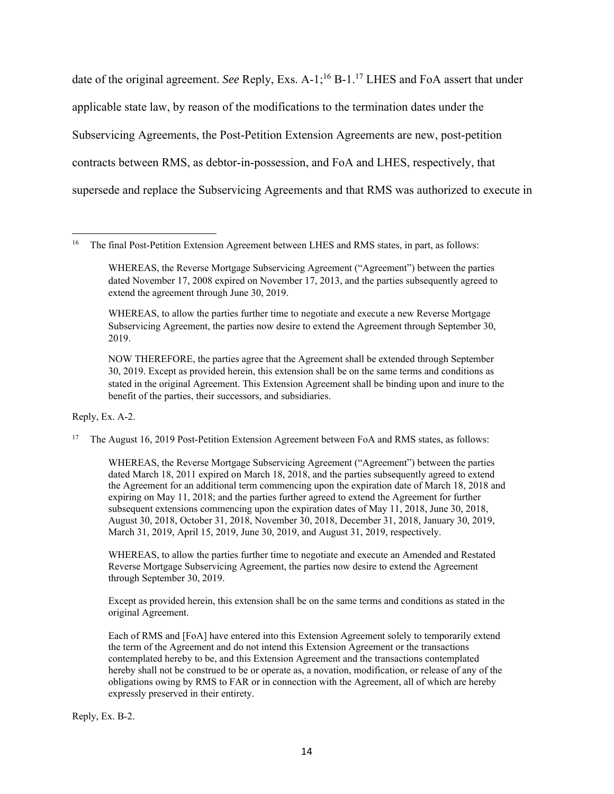date of the original agreement. *See* Reply, Exs. A-1;<sup>16</sup> B-1.<sup>17</sup> LHES and FoA assert that under applicable state law, by reason of the modifications to the termination dates under the Subservicing Agreements, the Post-Petition Extension Agreements are new, post-petition contracts between RMS, as debtor-in-possession, and FoA and LHES, respectively, that supersede and replace the Subservicing Agreements and that RMS was authorized to execute in

WHEREAS, to allow the parties further time to negotiate and execute a new Reverse Mortgage Subservicing Agreement, the parties now desire to extend the Agreement through September 30, 2019.

NOW THEREFORE, the parties agree that the Agreement shall be extended through September 30, 2019. Except as provided herein, this extension shall be on the same terms and conditions as stated in the original Agreement. This Extension Agreement shall be binding upon and inure to the benefit of the parties, their successors, and subsidiaries.

Reply, Ex. A-2.

<sup>17</sup> The August 16, 2019 Post-Petition Extension Agreement between FoA and RMS states, as follows:

WHEREAS, the Reverse Mortgage Subservicing Agreement ("Agreement") between the parties dated March 18, 2011 expired on March 18, 2018, and the parties subsequently agreed to extend the Agreement for an additional term commencing upon the expiration date of March 18, 2018 and expiring on May 11, 2018; and the parties further agreed to extend the Agreement for further subsequent extensions commencing upon the expiration dates of May 11, 2018, June 30, 2018, August 30, 2018, October 31, 2018, November 30, 2018, December 31, 2018, January 30, 2019, March 31, 2019, April 15, 2019, June 30, 2019, and August 31, 2019, respectively.

WHEREAS, to allow the parties further time to negotiate and execute an Amended and Restated Reverse Mortgage Subservicing Agreement, the parties now desire to extend the Agreement through September 30, 2019.

Except as provided herein, this extension shall be on the same terms and conditions as stated in the original Agreement.

Each of RMS and [FoA] have entered into this Extension Agreement solely to temporarily extend the term of the Agreement and do not intend this Extension Agreement or the transactions contemplated hereby to be, and this Extension Agreement and the transactions contemplated hereby shall not be construed to be or operate as, a novation, modification, or release of any of the obligations owing by RMS to FAR or in connection with the Agreement, all of which are hereby expressly preserved in their entirety.

Reply, Ex. B-2.

<sup>&</sup>lt;sup>16</sup> The final Post-Petition Extension Agreement between LHES and RMS states, in part, as follows:

WHEREAS, the Reverse Mortgage Subservicing Agreement ("Agreement") between the parties dated November 17, 2008 expired on November 17, 2013, and the parties subsequently agreed to extend the agreement through June 30, 2019.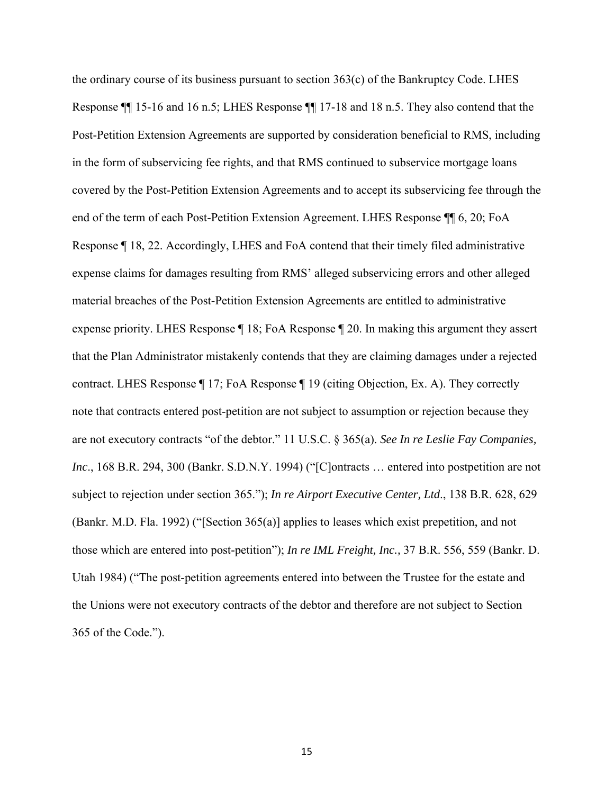the ordinary course of its business pursuant to section 363(c) of the Bankruptcy Code. LHES Response ¶¶ 15-16 and 16 n.5; LHES Response ¶¶ 17-18 and 18 n.5. They also contend that the Post-Petition Extension Agreements are supported by consideration beneficial to RMS, including in the form of subservicing fee rights, and that RMS continued to subservice mortgage loans covered by the Post-Petition Extension Agreements and to accept its subservicing fee through the end of the term of each Post-Petition Extension Agreement. LHES Response ¶¶ 6, 20; FoA Response ¶ 18, 22. Accordingly, LHES and FoA contend that their timely filed administrative expense claims for damages resulting from RMS' alleged subservicing errors and other alleged material breaches of the Post-Petition Extension Agreements are entitled to administrative expense priority. LHES Response ¶ 18; FoA Response ¶ 20. In making this argument they assert that the Plan Administrator mistakenly contends that they are claiming damages under a rejected contract. LHES Response ¶ 17; FoA Response ¶ 19 (citing Objection, Ex. A). They correctly note that contracts entered post-petition are not subject to assumption or rejection because they are not executory contracts "of the debtor." 11 U.S.C. § 365(a). *See In re Leslie Fay Companies, Inc*., 168 B.R. 294, 300 (Bankr. S.D.N.Y. 1994) ("[C]ontracts … entered into postpetition are not subject to rejection under section 365."); *In re Airport Executive Center, Ltd*., 138 B.R. 628, 629 (Bankr. M.D. Fla. 1992) ("[Section 365(a)] applies to leases which exist prepetition, and not those which are entered into post-petition"); *In re IML Freight, Inc.,* 37 B.R. 556, 559 (Bankr. D. Utah 1984) ("The post-petition agreements entered into between the Trustee for the estate and the Unions were not executory contracts of the debtor and therefore are not subject to Section 365 of the Code.").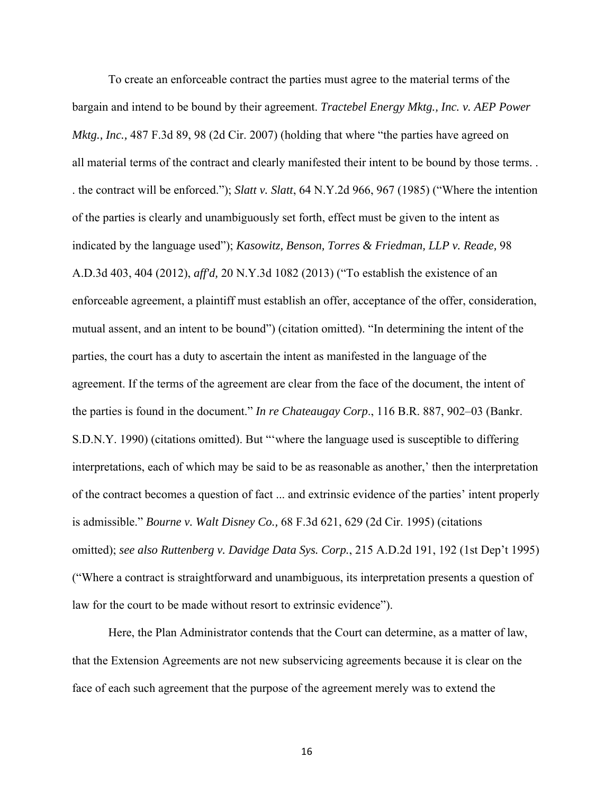To create an enforceable contract the parties must agree to the material terms of the bargain and intend to be bound by their agreement. *Tractebel Energy Mktg., Inc. v. AEP Power Mktg., Inc.,* 487 F.3d 89, 98 (2d Cir. 2007) (holding that where "the parties have agreed on all material terms of the contract and clearly manifested their intent to be bound by those terms. . . the contract will be enforced."); *Slatt v. Slatt*, 64 N.Y.2d 966, 967 (1985) ("Where the intention of the parties is clearly and unambiguously set forth, effect must be given to the intent as indicated by the language used"); *Kasowitz, Benson, Torres & Friedman, LLP v. Reade,* 98 A.D.3d 403, 404 (2012), *aff'd,* 20 N.Y.3d 1082 (2013) ("To establish the existence of an enforceable agreement, a plaintiff must establish an offer, acceptance of the offer, consideration, mutual assent, and an intent to be bound") (citation omitted). "In determining the intent of the parties, the court has a duty to ascertain the intent as manifested in the language of the agreement. If the terms of the agreement are clear from the face of the document, the intent of the parties is found in the document." *In re Chateaugay Corp*., 116 B.R. 887, 902–03 (Bankr. S.D.N.Y. 1990) (citations omitted). But "'where the language used is susceptible to differing interpretations, each of which may be said to be as reasonable as another,' then the interpretation of the contract becomes a question of fact ... and extrinsic evidence of the parties' intent properly is admissible." *Bourne v. Walt Disney Co.,* 68 F.3d 621, 629 (2d Cir. 1995) (citations omitted); *see also Ruttenberg v. Davidge Data Sys. Corp.*, 215 A.D.2d 191, 192 (1st Dep't 1995) ("Where a contract is straightforward and unambiguous, its interpretation presents a question of law for the court to be made without resort to extrinsic evidence").

Here, the Plan Administrator contends that the Court can determine, as a matter of law, that the Extension Agreements are not new subservicing agreements because it is clear on the face of each such agreement that the purpose of the agreement merely was to extend the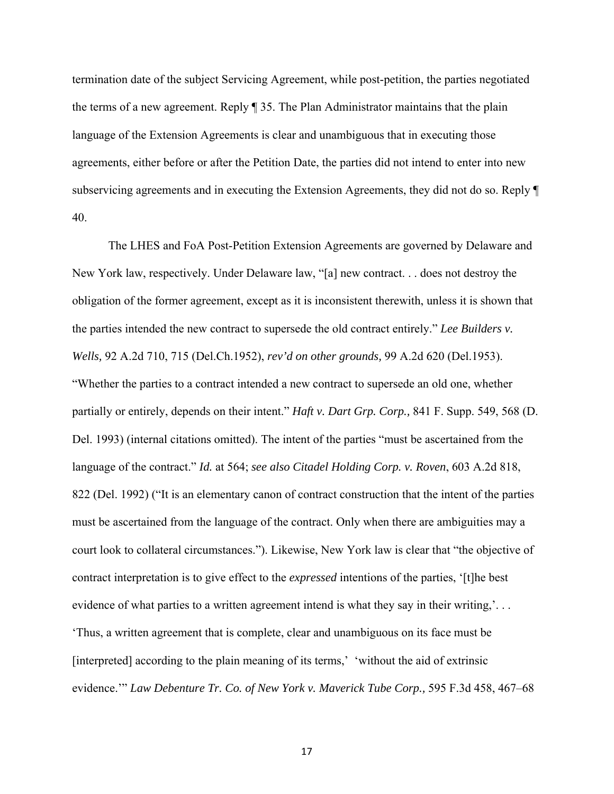termination date of the subject Servicing Agreement, while post-petition, the parties negotiated the terms of a new agreement. Reply ¶ 35. The Plan Administrator maintains that the plain language of the Extension Agreements is clear and unambiguous that in executing those agreements, either before or after the Petition Date, the parties did not intend to enter into new subservicing agreements and in executing the Extension Agreements, they did not do so. Reply ¶ 40.

 The LHES and FoA Post-Petition Extension Agreements are governed by Delaware and New York law, respectively. Under Delaware law, "[a] new contract. . . does not destroy the obligation of the former agreement, except as it is inconsistent therewith, unless it is shown that the parties intended the new contract to supersede the old contract entirely." *Lee Builders v. Wells,* 92 A.2d 710, 715 (Del.Ch.1952), *rev'd on other grounds,* 99 A.2d 620 (Del.1953). "Whether the parties to a contract intended a new contract to supersede an old one, whether partially or entirely, depends on their intent." *Haft v. Dart Grp. Corp.,* 841 F. Supp. 549, 568 (D. Del. 1993) (internal citations omitted). The intent of the parties "must be ascertained from the language of the contract." *Id.* at 564; *see also Citadel Holding Corp. v. Roven*, 603 A.2d 818, 822 (Del. 1992) ("It is an elementary canon of contract construction that the intent of the parties must be ascertained from the language of the contract. Only when there are ambiguities may a court look to collateral circumstances."). Likewise, New York law is clear that "the objective of contract interpretation is to give effect to the *expressed* intentions of the parties, '[t]he best evidence of what parties to a written agreement intend is what they say in their writing,'... 'Thus, a written agreement that is complete, clear and unambiguous on its face must be [interpreted] according to the plain meaning of its terms,' 'without the aid of extrinsic evidence.'" *Law Debenture Tr. Co. of New York v. Maverick Tube Corp.,* 595 F.3d 458, 467–68

17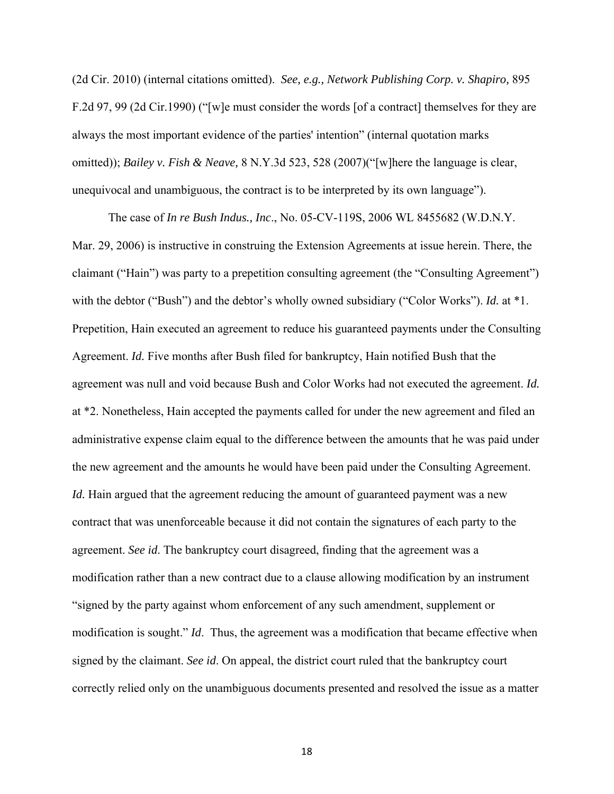(2d Cir. 2010) (internal citations omitted). *See, e.g., Network Publishing Corp. v. Shapiro,* 895 F.2d 97, 99 (2d Cir.1990) ("[w]e must consider the words [of a contract] themselves for they are always the most important evidence of the parties' intention" (internal quotation marks omitted)); *Bailey v. Fish & Neave,* 8 N.Y.3d 523, 528 (2007)("[w]here the language is clear, unequivocal and unambiguous, the contract is to be interpreted by its own language").

 The case of *In re Bush Indus., Inc*., No. 05-CV-119S, 2006 WL 8455682 (W.D.N.Y. Mar. 29, 2006) is instructive in construing the Extension Agreements at issue herein. There, the claimant ("Hain") was party to a prepetition consulting agreement (the "Consulting Agreement") with the debtor ("Bush") and the debtor's wholly owned subsidiary ("Color Works"). *Id.* at \*1. Prepetition, Hain executed an agreement to reduce his guaranteed payments under the Consulting Agreement. *Id.* Five months after Bush filed for bankruptcy, Hain notified Bush that the agreement was null and void because Bush and Color Works had not executed the agreement. *Id.* at \*2. Nonetheless, Hain accepted the payments called for under the new agreement and filed an administrative expense claim equal to the difference between the amounts that he was paid under the new agreement and the amounts he would have been paid under the Consulting Agreement. *Id.* Hain argued that the agreement reducing the amount of guaranteed payment was a new contract that was unenforceable because it did not contain the signatures of each party to the agreement. *See id*. The bankruptcy court disagreed, finding that the agreement was a modification rather than a new contract due to a clause allowing modification by an instrument "signed by the party against whom enforcement of any such amendment, supplement or modification is sought." *Id*. Thus, the agreement was a modification that became effective when signed by the claimant. *See id*. On appeal, the district court ruled that the bankruptcy court correctly relied only on the unambiguous documents presented and resolved the issue as a matter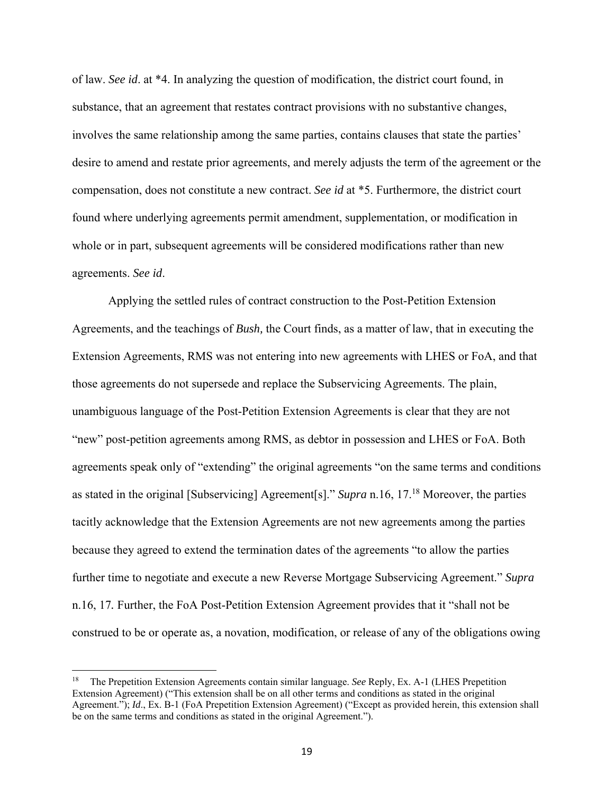of law. *See id*. at \*4. In analyzing the question of modification, the district court found, in substance, that an agreement that restates contract provisions with no substantive changes, involves the same relationship among the same parties, contains clauses that state the parties' desire to amend and restate prior agreements, and merely adjusts the term of the agreement or the compensation, does not constitute a new contract. *See id* at \*5. Furthermore, the district court found where underlying agreements permit amendment, supplementation, or modification in whole or in part, subsequent agreements will be considered modifications rather than new agreements. *See id*.

 Applying the settled rules of contract construction to the Post-Petition Extension Agreements, and the teachings of *Bush,* the Court finds, as a matter of law, that in executing the Extension Agreements, RMS was not entering into new agreements with LHES or FoA, and that those agreements do not supersede and replace the Subservicing Agreements. The plain, unambiguous language of the Post-Petition Extension Agreements is clear that they are not "new" post-petition agreements among RMS, as debtor in possession and LHES or FoA. Both agreements speak only of "extending" the original agreements "on the same terms and conditions as stated in the original [Subservicing] Agreement[s]." *Supra* n.16, 17.18 Moreover, the parties tacitly acknowledge that the Extension Agreements are not new agreements among the parties because they agreed to extend the termination dates of the agreements "to allow the parties further time to negotiate and execute a new Reverse Mortgage Subservicing Agreement." *Supra* n.16, 17*.* Further, the FoA Post-Petition Extension Agreement provides that it "shall not be construed to be or operate as, a novation, modification, or release of any of the obligations owing

<sup>18</sup> The Prepetition Extension Agreements contain similar language. *See* Reply, Ex. A-1 (LHES Prepetition Extension Agreement) ("This extension shall be on all other terms and conditions as stated in the original Agreement."); *Id.*, Ex. B-1 (FoA Prepetition Extension Agreement) ("Except as provided herein, this extension shall be on the same terms and conditions as stated in the original Agreement.").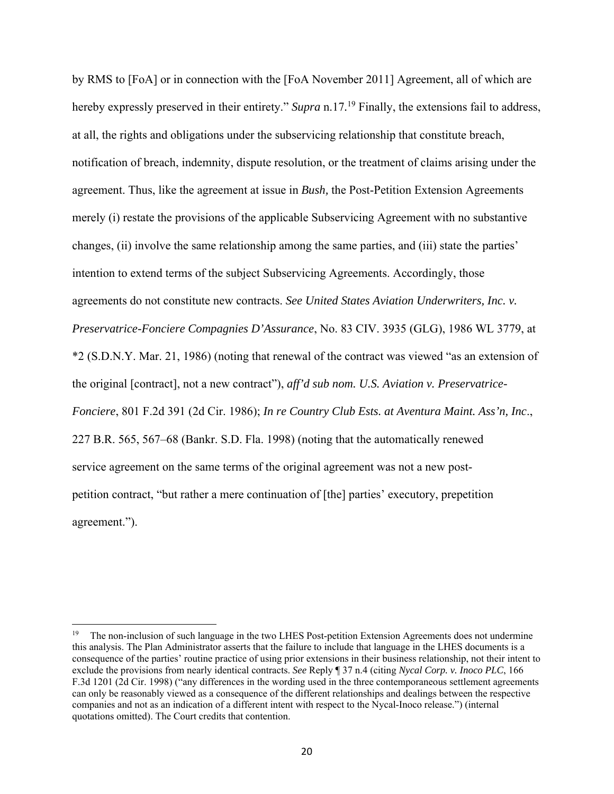by RMS to [FoA] or in connection with the [FoA November 2011] Agreement, all of which are hereby expressly preserved in their entirety." *Supra* n.17*.* <sup>19</sup> Finally, the extensions fail to address, at all, the rights and obligations under the subservicing relationship that constitute breach, notification of breach, indemnity, dispute resolution, or the treatment of claims arising under the agreement. Thus, like the agreement at issue in *Bush,* the Post-Petition Extension Agreements merely (i) restate the provisions of the applicable Subservicing Agreement with no substantive changes, (ii) involve the same relationship among the same parties, and (iii) state the parties' intention to extend terms of the subject Subservicing Agreements. Accordingly, those agreements do not constitute new contracts. *See United States Aviation Underwriters, Inc. v. Preservatrice-Fonciere Compagnies D'Assurance*, No. 83 CIV. 3935 (GLG), 1986 WL 3779, at \*2 (S.D.N.Y. Mar. 21, 1986) (noting that renewal of the contract was viewed "as an extension of the original [contract], not a new contract"), *aff'd sub nom. U.S. Aviation v. Preservatrice-Fonciere*, 801 F.2d 391 (2d Cir. 1986); *In re Country Club Ests. at Aventura Maint. Ass'n, Inc*., 227 B.R. 565, 567–68 (Bankr. S.D. Fla. 1998) (noting that the automatically renewed service agreement on the same terms of the original agreement was not a new postpetition contract, "but rather a mere continuation of [the] parties' executory, prepetition agreement.").

<sup>&</sup>lt;sup>19</sup> The non-inclusion of such language in the two LHES Post-petition Extension Agreements does not undermine this analysis. The Plan Administrator asserts that the failure to include that language in the LHES documents is a consequence of the parties' routine practice of using prior extensions in their business relationship, not their intent to exclude the provisions from nearly identical contracts. *See* Reply ¶ 37 n.4 (citing *Nycal Corp. v. Inoco PLC*, 166 F.3d 1201 (2d Cir. 1998) ("any differences in the wording used in the three contemporaneous settlement agreements can only be reasonably viewed as a consequence of the different relationships and dealings between the respective companies and not as an indication of a different intent with respect to the Nycal-Inoco release.") (internal quotations omitted). The Court credits that contention.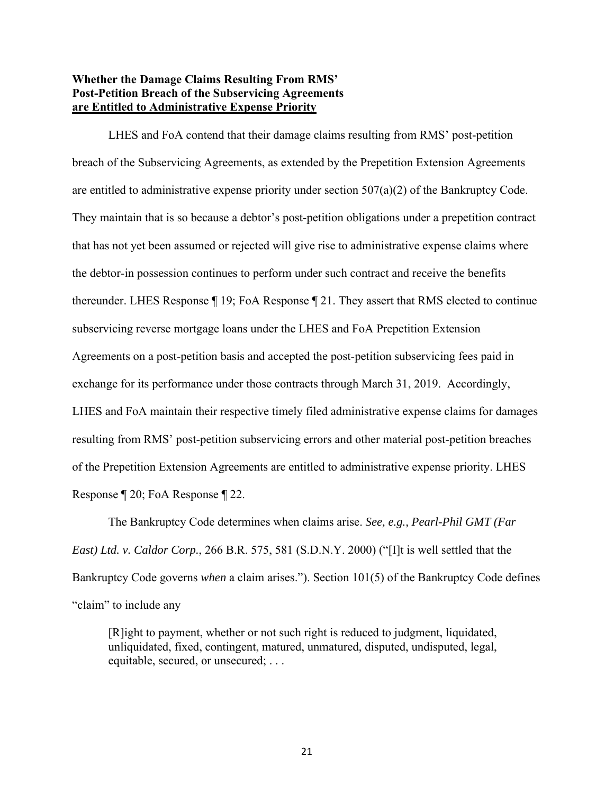# **Whether the Damage Claims Resulting From RMS' Post-Petition Breach of the Subservicing Agreements are Entitled to Administrative Expense Priority**

 LHES and FoA contend that their damage claims resulting from RMS' post-petition breach of the Subservicing Agreements, as extended by the Prepetition Extension Agreements are entitled to administrative expense priority under section  $507(a)(2)$  of the Bankruptcy Code. They maintain that is so because a debtor's post-petition obligations under a prepetition contract that has not yet been assumed or rejected will give rise to administrative expense claims where the debtor-in possession continues to perform under such contract and receive the benefits thereunder. LHES Response ¶ 19; FoA Response ¶ 21. They assert that RMS elected to continue subservicing reverse mortgage loans under the LHES and FoA Prepetition Extension Agreements on a post-petition basis and accepted the post-petition subservicing fees paid in exchange for its performance under those contracts through March 31, 2019. Accordingly, LHES and FoA maintain their respective timely filed administrative expense claims for damages resulting from RMS' post-petition subservicing errors and other material post-petition breaches of the Prepetition Extension Agreements are entitled to administrative expense priority. LHES Response ¶ 20; FoA Response ¶ 22.

The Bankruptcy Code determines when claims arise. *See, e.g., Pearl-Phil GMT (Far East) Ltd. v. Caldor Corp.*, 266 B.R. 575, 581 (S.D.N.Y. 2000) ("[I]t is well settled that the Bankruptcy Code governs *when* a claim arises."). Section 101(5) of the Bankruptcy Code defines "claim" to include any

[R]ight to payment, whether or not such right is reduced to judgment, liquidated, unliquidated, fixed, contingent, matured, unmatured, disputed, undisputed, legal, equitable, secured, or unsecured; . . .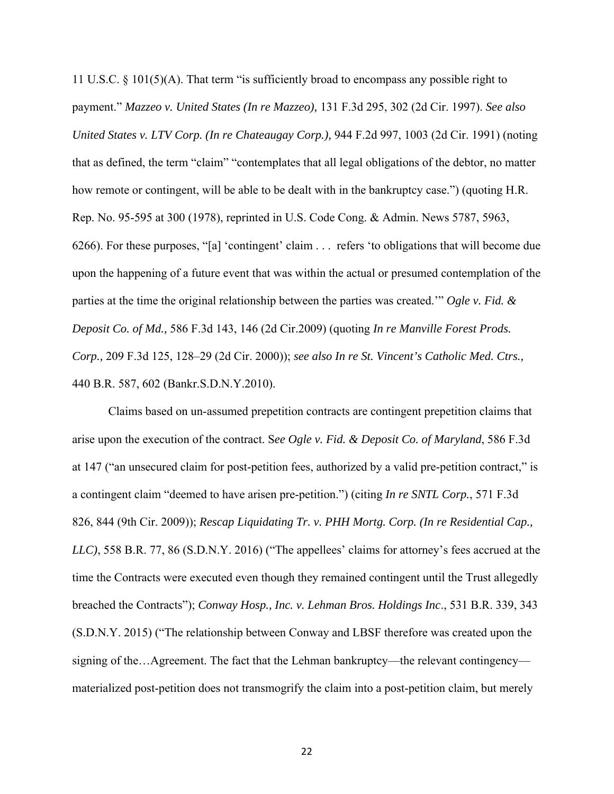11 U.S.C. § 101(5)(A). That term "is sufficiently broad to encompass any possible right to payment." *Mazzeo v. United States (In re Mazzeo),* 131 F.3d 295, 302 (2d Cir. 1997). *See also United States v. LTV Corp. (In re Chateaugay Corp.),* 944 F.2d 997, 1003 (2d Cir. 1991) (noting that as defined, the term "claim" "contemplates that all legal obligations of the debtor, no matter how remote or contingent, will be able to be dealt with in the bankruptcy case.") (quoting H.R. Rep. No. 95-595 at 300 (1978), reprinted in U.S. Code Cong. & Admin. News 5787, 5963, 6266). For these purposes, "[a] 'contingent' claim . . . refers 'to obligations that will become due upon the happening of a future event that was within the actual or presumed contemplation of the parties at the time the original relationship between the parties was created.'" *Ogle v. Fid. & Deposit Co. of Md.,* 586 F.3d 143, 146 (2d Cir.2009) (quoting *In re Manville Forest Prods. Corp.,* 209 F.3d 125, 128–29 (2d Cir. 2000)); *see also In re St. Vincent's Catholic Med. Ctrs.,* 440 B.R. 587, 602 (Bankr.S.D.N.Y.2010).

 Claims based on un-assumed prepetition contracts are contingent prepetition claims that arise upon the execution of the contract. S*ee Ogle v. Fid. & Deposit Co. of Maryland*, 586 F.3d at 147 ("an unsecured claim for post-petition fees, authorized by a valid pre-petition contract," is a contingent claim "deemed to have arisen pre-petition.") (citing *In re SNTL Corp.*, 571 F.3d 826, 844 (9th Cir. 2009)); *Rescap Liquidating Tr. v. PHH Mortg. Corp. (In re Residential Cap., LLC)*, 558 B.R. 77, 86 (S.D.N.Y. 2016) ("The appellees' claims for attorney's fees accrued at the time the Contracts were executed even though they remained contingent until the Trust allegedly breached the Contracts"); *Conway Hosp., Inc. v. Lehman Bros. Holdings Inc*., 531 B.R. 339, 343 (S.D.N.Y. 2015) ("The relationship between Conway and LBSF therefore was created upon the signing of the…Agreement. The fact that the Lehman bankruptcy—the relevant contingency materialized post-petition does not transmogrify the claim into a post-petition claim, but merely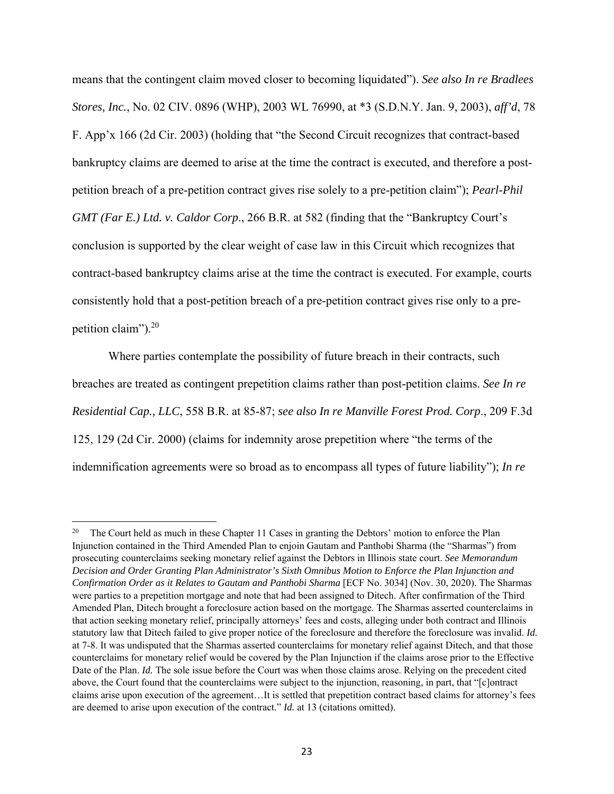means that the contingent claim moved closer to becoming liquidated"). *See also In re Bradlees Stores, Inc.*, No. 02 CIV. 0896 (WHP), 2003 WL 76990, at \*3 (S.D.N.Y. Jan. 9, 2003), *aff'd*, 78 F. App'x 166 (2d Cir. 2003) (holding that "the Second Circuit recognizes that contract-based bankruptcy claims are deemed to arise at the time the contract is executed, and therefore a postpetition breach of a pre-petition contract gives rise solely to a pre-petition claim"); *Pearl-Phil GMT (Far E.) Ltd. v. Caldor Corp*., 266 B.R. at 582 (finding that the "Bankruptcy Court's conclusion is supported by the clear weight of case law in this Circuit which recognizes that contract-based bankruptcy claims arise at the time the contract is executed. For example, courts consistently hold that a post-petition breach of a pre-petition contract gives rise only to a prepetition claim").20

 Where parties contemplate the possibility of future breach in their contracts, such breaches are treated as contingent prepetition claims rather than post-petition claims. *See In re Residential Cap., LLC*, 558 B.R. at 85-87; *see also In re Manville Forest Prod. Corp*., 209 F.3d 125, 129 (2d Cir. 2000) (claims for indemnity arose prepetition where "the terms of the indemnification agreements were so broad as to encompass all types of future liability"); *In re* 

<sup>&</sup>lt;sup>20</sup> The Court held as much in these Chapter 11 Cases in granting the Debtors' motion to enforce the Plan Injunction contained in the Third Amended Plan to enjoin Gautam and Panthobi Sharma (the "Sharmas") from prosecuting counterclaims seeking monetary relief against the Debtors in Illinois state court. *See Memorandum Decision and Order Granting Plan Administrator's Sixth Omnibus Motion to Enforce the Plan Injunction and Confirmation Order as it Relates to Gautam and Panthobi Sharma* [ECF No. 3034] (Nov. 30, 2020). The Sharmas were parties to a prepetition mortgage and note that had been assigned to Ditech. After confirmation of the Third Amended Plan, Ditech brought a foreclosure action based on the mortgage. The Sharmas asserted counterclaims in that action seeking monetary relief, principally attorneys' fees and costs, alleging under both contract and Illinois statutory law that Ditech failed to give proper notice of the foreclosure and therefore the foreclosure was invalid. *Id.* at 7-8. It was undisputed that the Sharmas asserted counterclaims for monetary relief against Ditech, and that those counterclaims for monetary relief would be covered by the Plan Injunction if the claims arose prior to the Effective Date of the Plan. *Id.* The sole issue before the Court was when those claims arose. Relying on the precedent cited above, the Court found that the counterclaims were subject to the injunction, reasoning, in part, that "[c]ontract claims arise upon execution of the agreement…It is settled that prepetition contract based claims for attorney's fees are deemed to arise upon execution of the contract." *Id.* at 13 (citations omitted).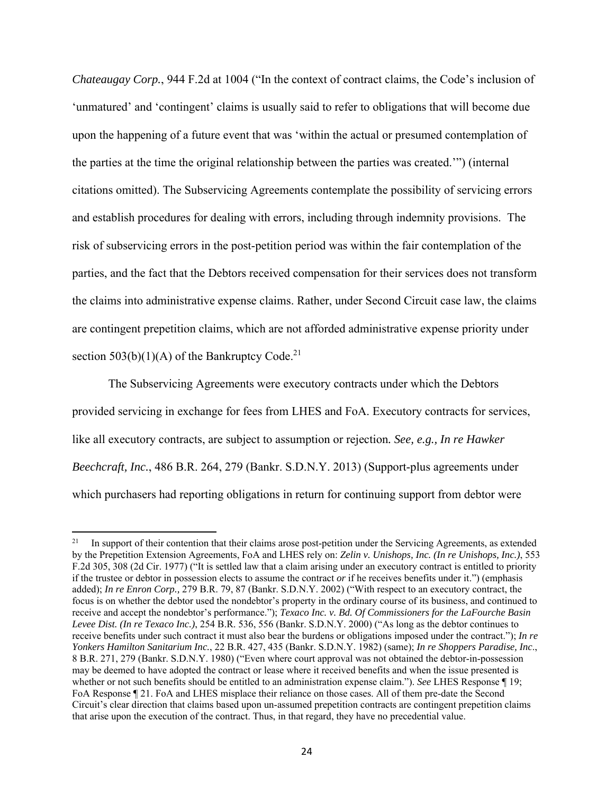*Chateaugay Corp.*, 944 F.2d at 1004 ("In the context of contract claims, the Code's inclusion of 'unmatured' and 'contingent' claims is usually said to refer to obligations that will become due upon the happening of a future event that was 'within the actual or presumed contemplation of the parties at the time the original relationship between the parties was created.'") (internal citations omitted). The Subservicing Agreements contemplate the possibility of servicing errors and establish procedures for dealing with errors, including through indemnity provisions. The risk of subservicing errors in the post-petition period was within the fair contemplation of the parties, and the fact that the Debtors received compensation for their services does not transform the claims into administrative expense claims. Rather, under Second Circuit case law, the claims are contingent prepetition claims, which are not afforded administrative expense priority under section  $503(b)(1)(A)$  of the Bankruptcy Code.<sup>21</sup>

 The Subservicing Agreements were executory contracts under which the Debtors provided servicing in exchange for fees from LHES and FoA. Executory contracts for services, like all executory contracts, are subject to assumption or rejection*. See, e.g., In re Hawker Beechcraft, Inc.*, 486 B.R. 264, 279 (Bankr. S.D.N.Y. 2013) (Support-plus agreements under which purchasers had reporting obligations in return for continuing support from debtor were

<sup>&</sup>lt;sup>21</sup> In support of their contention that their claims arose post-petition under the Servicing Agreements, as extended by the Prepetition Extension Agreements, FoA and LHES rely on: *Zelin v. Unishops, Inc. (In re Unishops, Inc.)*, 553 F.2d 305, 308 (2d Cir. 1977) ("It is settled law that a claim arising under an executory contract is entitled to priority if the trustee or debtor in possession elects to assume the contract *or* if he receives benefits under it.") (emphasis added); *In re Enron Corp.,* 279 B.R. 79, 87 (Bankr. S.D.N.Y. 2002) ("With respect to an executory contract, the focus is on whether the debtor used the nondebtor's property in the ordinary course of its business, and continued to receive and accept the nondebtor's performance."); *Texaco Inc. v. Bd. Of Commissioners for the LaFourche Basin Levee Dist. (In re Texaco Inc.)*, 254 B.R. 536, 556 (Bankr. S.D.N.Y. 2000) ("As long as the debtor continues to receive benefits under such contract it must also bear the burdens or obligations imposed under the contract."); *In re Yonkers Hamilton Sanitarium Inc.*, 22 B.R. 427, 435 (Bankr. S.D.N.Y. 1982) (same); *In re Shoppers Paradise, Inc*., 8 B.R. 271, 279 (Bankr. S.D.N.Y. 1980) ("Even where court approval was not obtained the debtor-in-possession may be deemed to have adopted the contract or lease where it received benefits and when the issue presented is whether or not such benefits should be entitled to an administration expense claim."). *See* LHES Response ¶ 19; FoA Response ¶ 21. FoA and LHES misplace their reliance on those cases. All of them pre-date the Second Circuit's clear direction that claims based upon un-assumed prepetition contracts are contingent prepetition claims that arise upon the execution of the contract. Thus, in that regard, they have no precedential value.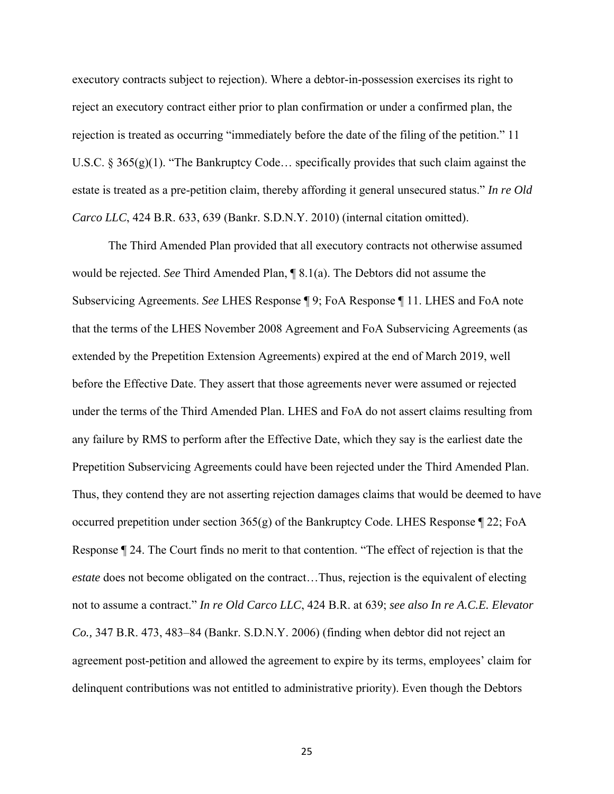executory contracts subject to rejection). Where a debtor-in-possession exercises its right to reject an executory contract either prior to plan confirmation or under a confirmed plan, the rejection is treated as occurring "immediately before the date of the filing of the petition." 11 U.S.C. §  $365(g)(1)$ . "The Bankruptcy Code... specifically provides that such claim against the estate is treated as a pre-petition claim, thereby affording it general unsecured status." *In re Old Carco LLC*, 424 B.R. 633, 639 (Bankr. S.D.N.Y. 2010) (internal citation omitted).

 The Third Amended Plan provided that all executory contracts not otherwise assumed would be rejected. *See* Third Amended Plan, ¶ 8.1(a). The Debtors did not assume the Subservicing Agreements. *See* LHES Response ¶ 9; FoA Response ¶ 11. LHES and FoA note that the terms of the LHES November 2008 Agreement and FoA Subservicing Agreements (as extended by the Prepetition Extension Agreements) expired at the end of March 2019, well before the Effective Date. They assert that those agreements never were assumed or rejected under the terms of the Third Amended Plan. LHES and FoA do not assert claims resulting from any failure by RMS to perform after the Effective Date, which they say is the earliest date the Prepetition Subservicing Agreements could have been rejected under the Third Amended Plan. Thus, they contend they are not asserting rejection damages claims that would be deemed to have occurred prepetition under section 365(g) of the Bankruptcy Code. LHES Response ¶ 22; FoA Response ¶ 24. The Court finds no merit to that contention. "The effect of rejection is that the *estate* does not become obligated on the contract...Thus, rejection is the equivalent of electing not to assume a contract." *In re Old Carco LLC*, 424 B.R. at 639; *see also In re A.C.E. Elevator Co.,* 347 B.R. 473, 483–84 (Bankr. S.D.N.Y. 2006) (finding when debtor did not reject an agreement post-petition and allowed the agreement to expire by its terms, employees' claim for delinquent contributions was not entitled to administrative priority). Even though the Debtors

25